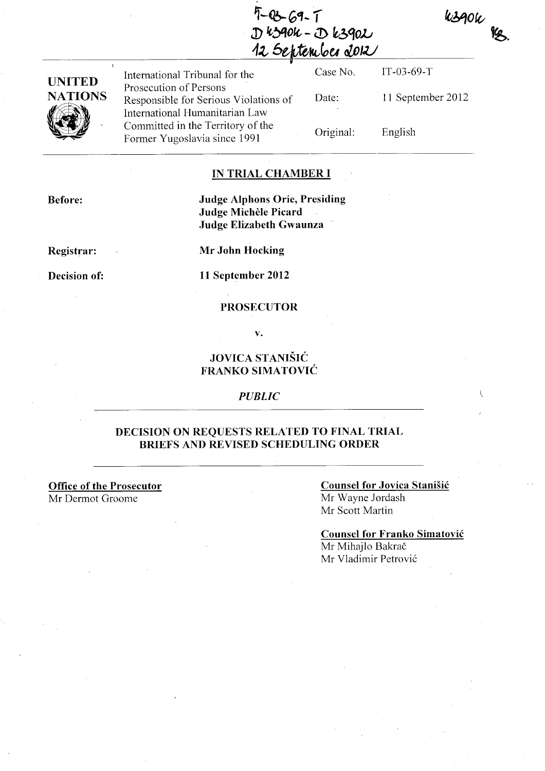$5 - 03 - 69 - 1$  $D$   $k$  $390k - D$   $k390k$ 12 September 2012

| UNITED         |  |
|----------------|--|
| <b>NATIONS</b> |  |
|                |  |

International Tribunal for the Prosecution of Persons Responsible for Serious Violations of International Humanitarian Law Committed in the Territory of the Former Yugoslavia since 1991

Case No. Date: Original: IT -03-69-T 11 September 2012 English

 $k390k$ 

## **IN TRIAL CHAMBER I**

**Before:** 

**Judge Alphons Orie, Presiding Judge Michele Picard Judge Elizabeth Gwaunza** 

**Registrar:** 

**Mr John Hocking** 

**Decision of:** 

**11 September 2012** 

### **PROSECUTOR**

**v.** 

# **JOVICA STANISIC FRANKO SIMATOVIC**

#### *PUBLIC*

## **DECISION ON REQUESTS RELATED TO FINAL TRIAL BRIEFS AND REVISED SCHEDULING ORDER**

**Office of the Prosecutor**  Mr Dermot Groome

### **Counsel for Jovica Stanisic**  Mr Wayne Jordash Mr Scott Martin

**Counsel for Franko Simatovic**  Mr Mihajlo Bakrač Mr Vladimir Petrovic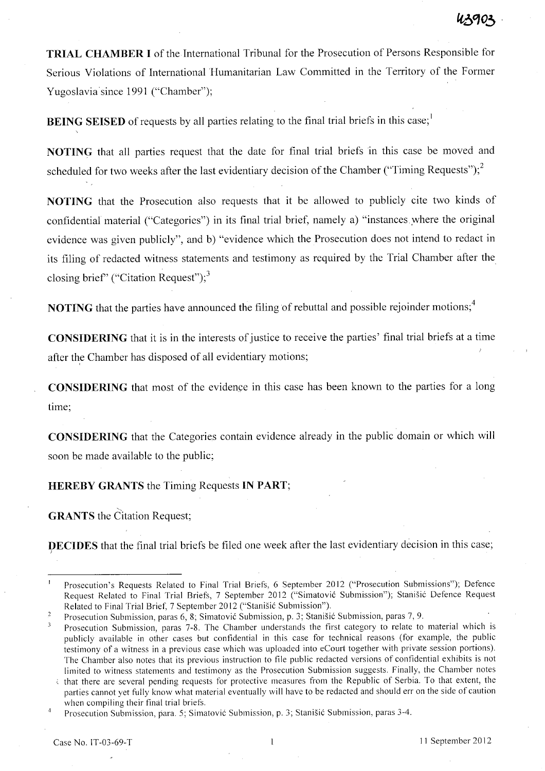**TRIAL CHAMBER I** of the International Tribunal for the Prosecution of Persons Responsible for Serious Violations of International Humanitarian Law Committed in the Territory of the Former Yugoslavia since 1991 ("Chamber");

**BEING SEISED** of requests by all parties relating to the final trial briefs in this case;<sup>1</sup>

**NOTING** that all parties request that the date for final trial briefs in this case be moved and scheduled for two weeks after the last evidentiary decision of the Chamber ("Timing Requests");<sup>2</sup>

**NOTING** that the Prosecution also requests that it be allowed to publicly cite two kinds of confidential material ("Categories") in its final trial brief, namely a) "instances ,where the original evidence was given publicly", and b) "evidence which the Prosecution does not intend to redact in its filing of redacted witness statements and testimony as required by the Trial Chamber after the closing brief" ("Citation Request"); $3$ 

**NOTING** that the parties have announced the filing of rebuttal and possible rejoinder motions;<sup>4</sup>

**CONSIDERING** that it is in the interests of justice to receive the parties' final trial briefs at a time after the Chamber has disposed of all evidentiary motions;

**CONSIDERING** that most of the evidence in this case has been known to the parties for a long time;

**CONSIDERING** that the Categories contain evidence already in the public domain or which will soon be made available to the public;

**HEREBY GRANTS** the Timing Requests **IN PART;** 

**GRANTS** the Citation Request;

**DECIDES** that the final trial briefs be filed one week after the last evidentiary decision in this case; )

Prosecution's Requests Related to Final Trial Briefs, 6 September 2012 ("Prosecution Submissions"); Defence Request Related to Final Trial Briefs, 7 September 2012 ("Simatović Submission"), Stanišić Defence Request Related to Final Trial Brief, 7 September 2012 ("Stanišić Submission").

Prosecution Submission, paras 6, 8; Simatović Submission, p. 3; Stanišić Submission, paras 7, 9.  $\sqrt{2}$ 

Prosecution Submission, paras 7-8. The Chamber understands the first category to relate to material which is publicly available in other cases but confidential in this case for technical reasons (for example, the public testimony of a witness in a previous case which was uploaded into eCourt together with private session portions). The Chamber also notes that its previous instruction to file public redacted versions of confidential exhibits is not limited to witness statements and testimony as the Prosecution Submission suggests. Finally, the Chamber notes

that there are several pending requests for protective measures from the Republic of Serbia. To that extent, the parties cannot yet fully know what material eventually will have to be redacted and should err on the side of caution when compiling their final trial briefs.

Prosecution Submission, para. 5; Simatović Submission, p. 3; Stanišić Submission, paras 3-4.